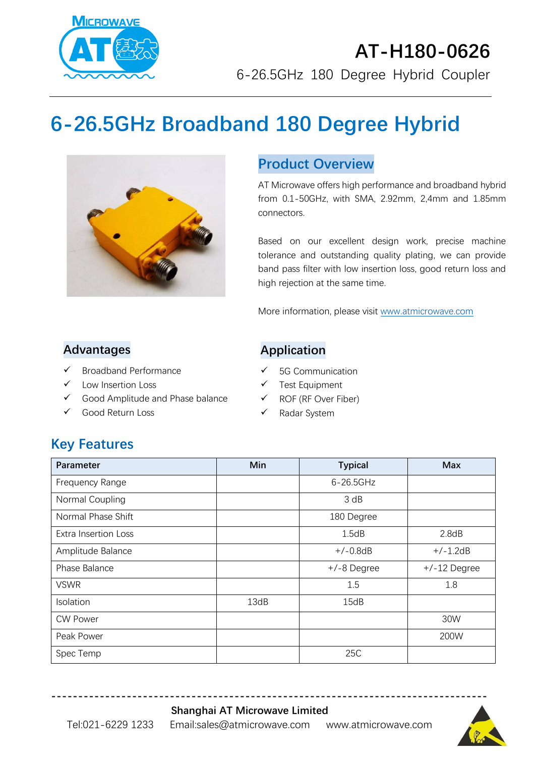

# **AT-H180-0626** 6-26.5GHz 180 Degree Hybrid Coupler

# **6-26.5GHz Broadband 180 Degree Hybrid**



#### **Product Overview**

AT Microwave offers high performance and broadband hybrid from 0.1-50GHz, with SMA, 2.92mm, 2,4mm and 1.85mm connectors.

Based on our excellent design work, precise machine tolerance and outstanding quality plating, we can provide band pass filter with low insertion loss, good return loss and high rejection at the same time.

More information, please visit [www.atmicrowave.com](http://www.atmicrowave.com/)

#### **Advantages**

- ✓ Broadband Performance
- Low Insertion Loss
- ✓ Good Amplitude and Phase balance
- Good Return Loss

#### **Application**

- ✓ 5G Communication
- ✓ Test Equipment
- ✓ ROF (RF Over Fiber)
- ✓ Radar System

## **Key Features**

| <b>Parameter</b>            | Min  | <b>Typical</b> | <b>Max</b>     |
|-----------------------------|------|----------------|----------------|
| Frequency Range             |      | $6 - 26.5$ GHz |                |
| Normal Coupling             |      | 3 dB           |                |
| Normal Phase Shift          |      | 180 Degree     |                |
| <b>Extra Insertion Loss</b> |      | 1.5dB          | 2.8dB          |
| Amplitude Balance           |      | $+/-0.8dB$     | $+/-1.2dB$     |
| Phase Balance               |      | +/-8 Degree    | $+/-12$ Degree |
| <b>VSWR</b>                 |      | 1.5            | 1.8            |
| Isolation                   | 13dB | 15dB           |                |
| <b>CW Power</b>             |      |                | 30W            |
| Peak Power                  |      |                | 200W           |
| Spec Temp                   |      | 25C            |                |

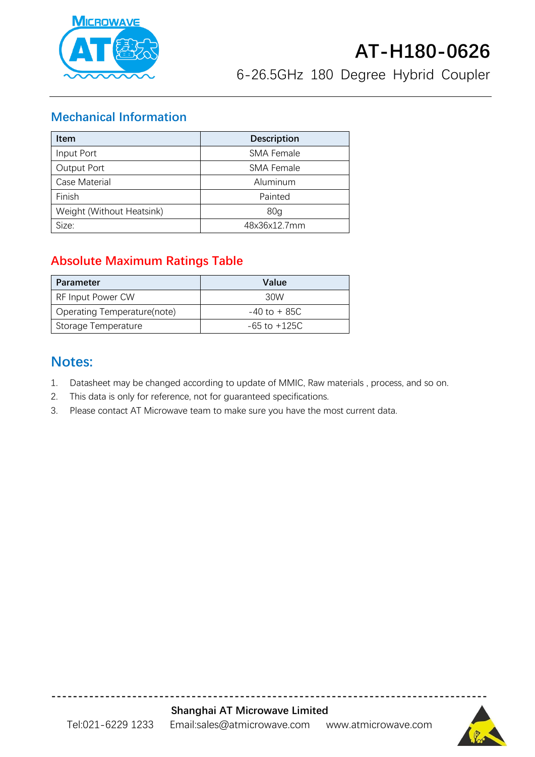

#### **Mechanical Information**

| <b>Item</b>               | <b>Description</b> |
|---------------------------|--------------------|
| Input Port                | <b>SMA Female</b>  |
| Output Port               | <b>SMA Female</b>  |
| Case Material             | Aluminum           |
| Finish                    | Painted            |
| Weight (Without Heatsink) | 80 <sub>g</sub>    |
| Size:                     | 48x36x12.7mm       |

### **Absolute Maximum Ratings Table**

| Parameter                   | Value            |
|-----------------------------|------------------|
| <b>RF Input Power CW</b>    | 30W              |
| Operating Temperature(note) | $-40$ to $+85C$  |
| Storage Temperature         | $-65$ to $+125C$ |

### **Notes:**

- 1. Datasheet may be changed according to update of MMIC, Raw materials , process, and so on.
- 2. This data is only for reference, not for guaranteed specifications.
- 3. Please contact AT Microwave team to make sure you have the most current data.

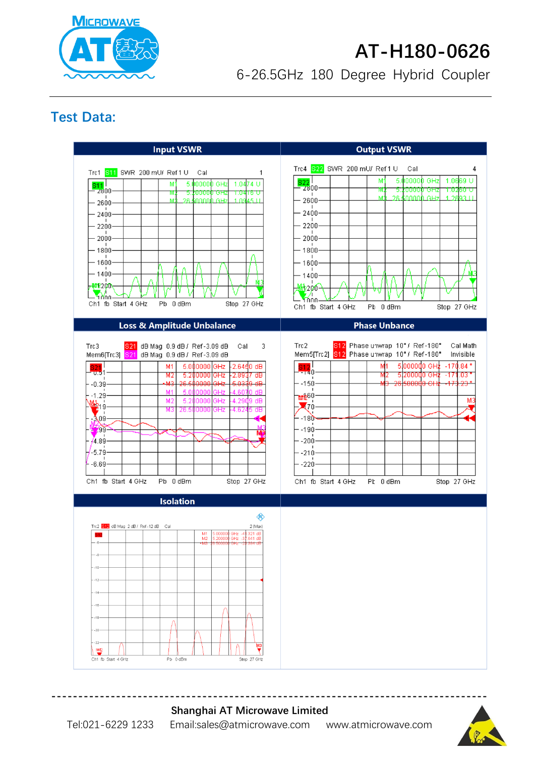

# **AT-H180-0626**

6-26.5GHz 180 Degree Hybrid Coupler

### **Test Data:**